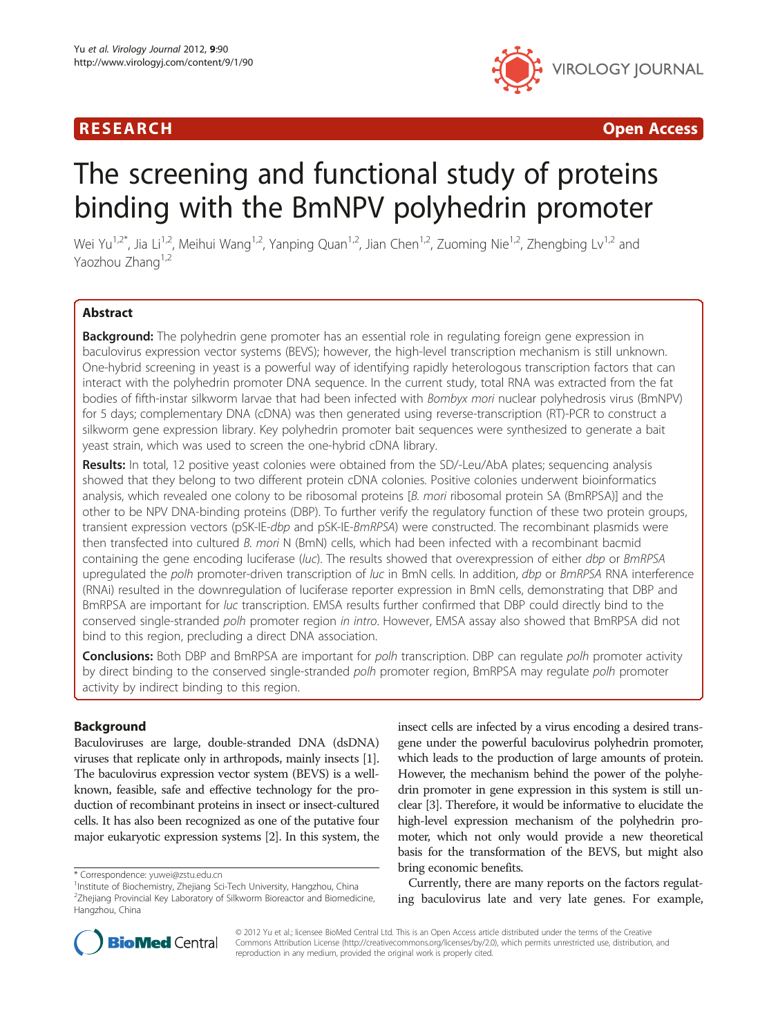# R E S EA RCH Open Access



# The screening and functional study of proteins binding with the BmNPV polyhedrin promoter

Wei Yu<sup>1,2\*</sup>, Jia Li<sup>1,2</sup>, Meihui Wang<sup>1,2</sup>, Yanping Quan<sup>1,2</sup>, Jian Chen<sup>1,2</sup>, Zuoming Nie<sup>1,2</sup>, Zhengbing Ly<sup>1,2</sup> and Yaozhou Zhang<sup>1,2</sup>

# Abstract

**Background:** The polyhedrin gene promoter has an essential role in regulating foreign gene expression in baculovirus expression vector systems (BEVS); however, the high-level transcription mechanism is still unknown. One-hybrid screening in yeast is a powerful way of identifying rapidly heterologous transcription factors that can interact with the polyhedrin promoter DNA sequence. In the current study, total RNA was extracted from the fat bodies of fifth-instar silkworm larvae that had been infected with Bombyx mori nuclear polyhedrosis virus (BmNPV) for 5 days; complementary DNA (cDNA) was then generated using reverse-transcription (RT)-PCR to construct a silkworm gene expression library. Key polyhedrin promoter bait sequences were synthesized to generate a bait yeast strain, which was used to screen the one-hybrid cDNA library.

Results: In total, 12 positive yeast colonies were obtained from the SD/-Leu/AbA plates; sequencing analysis showed that they belong to two different protein cDNA colonies. Positive colonies underwent bioinformatics analysis, which revealed one colony to be ribosomal proteins  $\beta$ . mori ribosomal protein SA (BmRPSA)] and the other to be NPV DNA-binding proteins (DBP). To further verify the regulatory function of these two protein groups, transient expression vectors (pSK-IE-dbp and pSK-IE-BmRPSA) were constructed. The recombinant plasmids were then transfected into cultured B. mori N (BmN) cells, which had been infected with a recombinant bacmid containing the gene encoding luciferase (luc). The results showed that overexpression of either dbp or BmRPSA upregulated the polh promoter-driven transcription of luc in BmN cells. In addition, dbp or BmRPSA RNA interference (RNAi) resulted in the downregulation of luciferase reporter expression in BmN cells, demonstrating that DBP and BmRPSA are important for luc transcription. EMSA results further confirmed that DBP could directly bind to the conserved single-stranded polh promoter region in intro. However, EMSA assay also showed that BmRPSA did not bind to this region, precluding a direct DNA association.

**Conclusions:** Both DBP and BmRPSA are important for *polh* transcription. DBP can regulate *polh* promoter activity by direct binding to the conserved single-stranded polh promoter region, BmRPSA may regulate polh promoter activity by indirect binding to this region.

# Background

Baculoviruses are large, double-stranded DNA (dsDNA) viruses that replicate only in arthropods, mainly insects [[1](#page-8-0)]. The baculovirus expression vector system (BEVS) is a wellknown, feasible, safe and effective technology for the production of recombinant proteins in insect or insect-cultured cells. It has also been recognized as one of the putative four major eukaryotic expression systems [\[2\]](#page-8-0). In this system, the

insect cells are infected by a virus encoding a desired transgene under the powerful baculovirus polyhedrin promoter, which leads to the production of large amounts of protein. However, the mechanism behind the power of the polyhedrin promoter in gene expression in this system is still unclear [[3\]](#page-8-0). Therefore, it would be informative to elucidate the high-level expression mechanism of the polyhedrin promoter, which not only would provide a new theoretical basis for the transformation of the BEVS, but might also bring economic benefits.

Currently, there are many reports on the factors regulating baculovirus late and very late genes. For example,



© 2012 Yu et al.; licensee BioMed Central Ltd. This is an Open Access article distributed under the terms of the Creative Commons Attribution License (http://creativecommons.org/licenses/by/2.0), which permits unrestricted use, distribution, and reproduction in any medium, provided the original work is properly cited.

<sup>\*</sup> Correspondence: [yuwei@zstu.edu.cn](mailto:yuwei@zstu.edu.cn) <sup>1</sup>

<sup>&</sup>lt;sup>1</sup>Institute of Biochemistry, Zhejiang Sci-Tech University, Hangzhou, China <sup>2</sup>Zhejiang Provincial Key Laboratory of Silkworm Bioreactor and Biomedicine, Hangzhou, China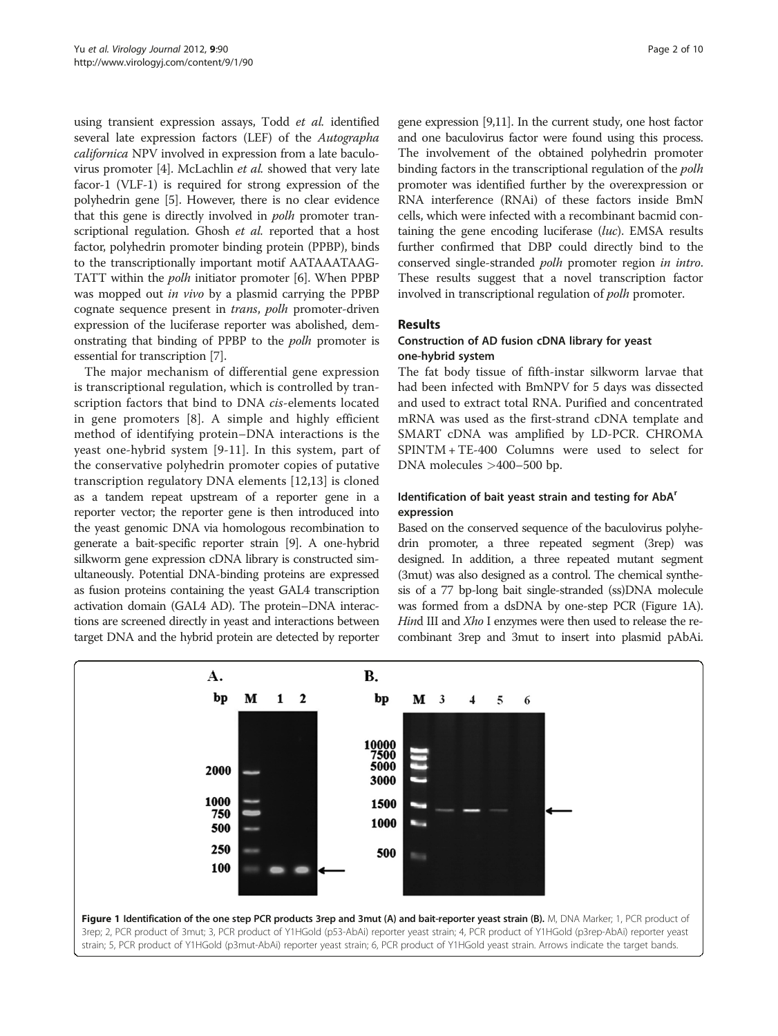<span id="page-1-0"></span>using transient expression assays, Todd et al. identified several late expression factors (LEF) of the Autographa californica NPV involved in expression from a late baculovirus promoter [[4\]](#page-8-0). McLachlin et al. showed that very late facor-1 (VLF-1) is required for strong expression of the polyhedrin gene [\[5\]](#page-8-0). However, there is no clear evidence that this gene is directly involved in *polh* promoter transcriptional regulation. Ghosh et al. reported that a host factor, polyhedrin promoter binding protein (PPBP), binds to the transcriptionally important motif AATAAATAAG-TATT within the polh initiator promoter [[6\]](#page-8-0). When PPBP was mopped out in vivo by a plasmid carrying the PPBP cognate sequence present in trans, polh promoter-driven expression of the luciferase reporter was abolished, demonstrating that binding of PPBP to the polh promoter is essential for transcription [[7](#page-8-0)].

The major mechanism of differential gene expression is transcriptional regulation, which is controlled by transcription factors that bind to DNA cis-elements located in gene promoters [[8\]](#page-8-0). A simple and highly efficient method of identifying protein–DNA interactions is the yeast one-hybrid system [[9-11](#page-8-0)]. In this system, part of the conservative polyhedrin promoter copies of putative transcription regulatory DNA elements [[12,](#page-8-0)[13\]](#page-9-0) is cloned as a tandem repeat upstream of a reporter gene in a reporter vector; the reporter gene is then introduced into the yeast genomic DNA via homologous recombination to generate a bait-specific reporter strain [\[9](#page-8-0)]. A one-hybrid silkworm gene expression cDNA library is constructed simultaneously. Potential DNA-binding proteins are expressed as fusion proteins containing the yeast GAL4 transcription activation domain (GAL4 AD). The protein–DNA interactions are screened directly in yeast and interactions between target DNA and the hybrid protein are detected by reporter gene expression [\[9,11](#page-8-0)]. In the current study, one host factor and one baculovirus factor were found using this process. The involvement of the obtained polyhedrin promoter binding factors in the transcriptional regulation of the *polh* promoter was identified further by the overexpression or RNA interference (RNAi) of these factors inside BmN cells, which were infected with a recombinant bacmid containing the gene encoding luciferase  $(luc)$ . EMSA results further confirmed that DBP could directly bind to the conserved single-stranded polh promoter region in intro. These results suggest that a novel transcription factor involved in transcriptional regulation of *polh* promoter.

#### Results

# Construction of AD fusion cDNA library for yeast one-hybrid system

The fat body tissue of fifth-instar silkworm larvae that had been infected with BmNPV for 5 days was dissected and used to extract total RNA. Purified and concentrated mRNA was used as the first-strand cDNA template and SMART cDNA was amplified by LD-PCR. CHROMA SPINTM + TE-400 Columns were used to select for DNA molecules >400–500 bp.

# Identification of bait yeast strain and testing for AbA<sup>r</sup> expression

Based on the conserved sequence of the baculovirus polyhedrin promoter, a three repeated segment (3rep) was designed. In addition, a three repeated mutant segment (3mut) was also designed as a control. The chemical synthesis of a 77 bp-long bait single-stranded (ss)DNA molecule was formed from a dsDNA by one-step PCR (Figure 1A). Hind III and Xho I enzymes were then used to release the recombinant 3rep and 3mut to insert into plasmid pAbAi.

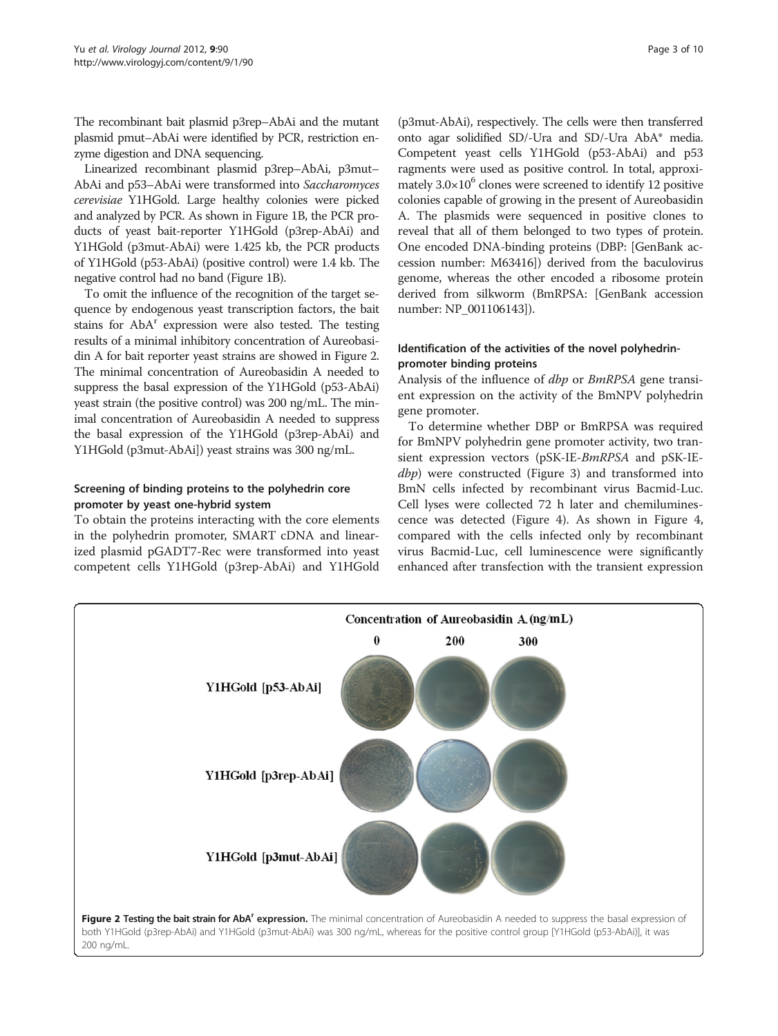The recombinant bait plasmid p3rep–AbAi and the mutant plasmid pmut–AbAi were identified by PCR, restriction enzyme digestion and DNA sequencing.

Linearized recombinant plasmid p3rep–AbAi, p3mut– AbAi and p53–AbAi were transformed into Saccharomyces cerevisiae Y1HGold. Large healthy colonies were picked and analyzed by PCR. As shown in Figure [1B](#page-1-0), the PCR products of yeast bait-reporter Y1HGold (p3rep-AbAi) and Y1HGold (p3mut-AbAi) were 1.425 kb, the PCR products of Y1HGold (p53-AbAi) (positive control) were 1.4 kb. The negative control had no band (Figure [1B](#page-1-0)).

To omit the influence of the recognition of the target sequence by endogenous yeast transcription factors, the bait stains for  $AbA<sup>r</sup>$  expression were also tested. The testing results of a minimal inhibitory concentration of Aureobasidin A for bait reporter yeast strains are showed in Figure 2. The minimal concentration of Aureobasidin A needed to suppress the basal expression of the Y1HGold (p53-AbAi) yeast strain (the positive control) was 200 ng/mL. The minimal concentration of Aureobasidin A needed to suppress the basal expression of the Y1HGold (p3rep-AbAi) and Y1HGold (p3mut-AbAi]) yeast strains was 300 ng/mL.

# Screening of binding proteins to the polyhedrin core promoter by yeast one-hybrid system

To obtain the proteins interacting with the core elements in the polyhedrin promoter, SMART cDNA and linearized plasmid pGADT7-Rec were transformed into yeast competent cells Y1HGold (p3rep-AbAi) and Y1HGold

(p3mut-AbAi), respectively. The cells were then transferred onto agar solidified SD/-Ura and SD/-Ura AbA\* media. Competent yeast cells Y1HGold (p53-AbAi) and p53 ragments were used as positive control. In total, approximately  $3.0\times10^6$  clones were screened to identify 12 positive colonies capable of growing in the present of Aureobasidin A. The plasmids were sequenced in positive clones to reveal that all of them belonged to two types of protein. One encoded DNA-binding proteins (DBP: [GenBank accession number: M63416]) derived from the baculovirus genome, whereas the other encoded a ribosome protein derived from silkworm (BmRPSA: [GenBank accession number: NP\_001106143]).

# Identification of the activities of the novel polyhedrinpromoter binding proteins

Analysis of the influence of dbp or BmRPSA gene transient expression on the activity of the BmNPV polyhedrin gene promoter.

To determine whether DBP or BmRPSA was required for BmNPV polyhedrin gene promoter activity, two transient expression vectors (pSK-IE-BmRPSA and pSK-IE-dbp) were constructed (Figure [3](#page-3-0)) and transformed into BmN cells infected by recombinant virus Bacmid-Luc. Cell lyses were collected 72 h later and chemiluminescence was detected (Figure [4\)](#page-3-0). As shown in Figure [4](#page-3-0), compared with the cells infected only by recombinant virus Bacmid-Luc, cell luminescence were significantly enhanced after transfection with the transient expression

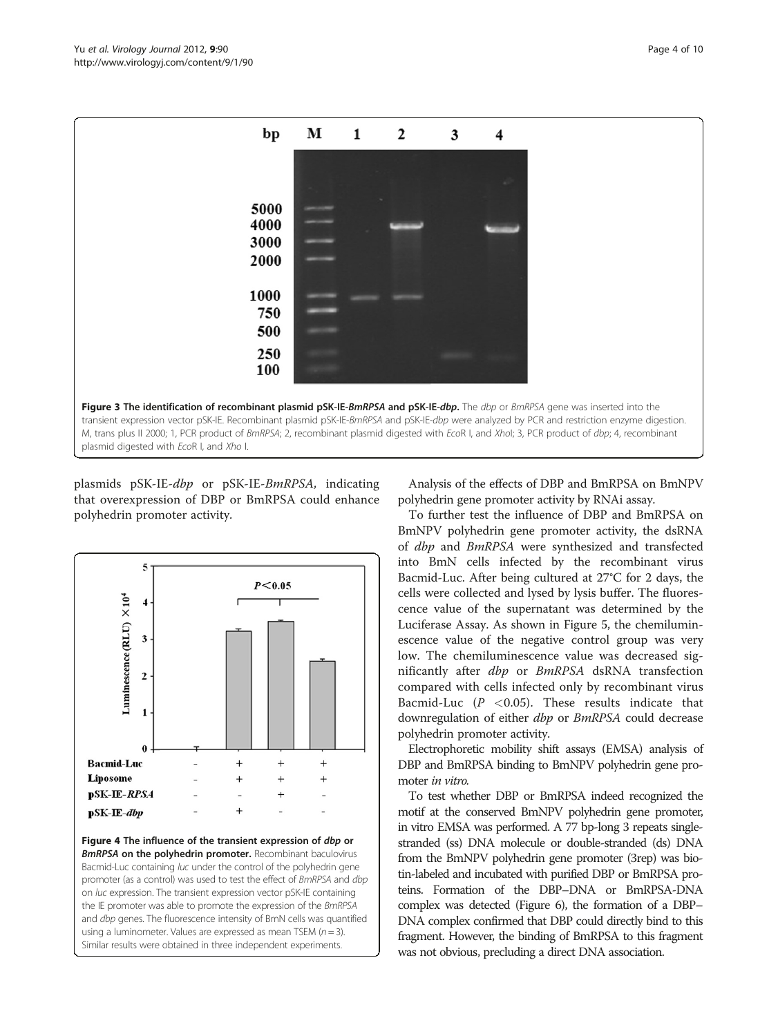<span id="page-3-0"></span>http://www.virologyj.com/content/9/1/90



plasmids pSK-IE-dbp or pSK-IE-BmRPSA, indicating that overexpression of DBP or BmRPSA could enhance polyhedrin promoter activity.



Figure 4 The influence of the transient expression of dbp or **BmRPSA on the polyhedrin promoter.** Recombinant baculovirus Bacmid-Luc containing luc under the control of the polyhedrin gene promoter (as a control) was used to test the effect of BmRPSA and dbp on luc expression. The transient expression vector pSK-IE containing the IE promoter was able to promote the expression of the BmRPSA and dbp genes. The fluorescence intensity of BmN cells was quantified using a luminometer. Values are expressed as mean TSEM ( $n = 3$ ). Similar results were obtained in three independent experiments.

Analysis of the effects of DBP and BmRPSA on BmNPV polyhedrin gene promoter activity by RNAi assay.

To further test the influence of DBP and BmRPSA on BmNPV polyhedrin gene promoter activity, the dsRNA of dbp and BmRPSA were synthesized and transfected into BmN cells infected by the recombinant virus Bacmid-Luc. After being cultured at 27°C for 2 days, the cells were collected and lysed by lysis buffer. The fluorescence value of the supernatant was determined by the Luciferase Assay. As shown in Figure [5](#page-4-0), the chemiluminescence value of the negative control group was very low. The chemiluminescence value was decreased significantly after dbp or BmRPSA dsRNA transfection compared with cells infected only by recombinant virus Bacmid-Luc  $(P \le 0.05)$ . These results indicate that downregulation of either dbp or BmRPSA could decrease polyhedrin promoter activity.

Electrophoretic mobility shift assays (EMSA) analysis of DBP and BmRPSA binding to BmNPV polyhedrin gene promoter in vitro.

To test whether DBP or BmRPSA indeed recognized the motif at the conserved BmNPV polyhedrin gene promoter, in vitro EMSA was performed. A 77 bp-long 3 repeats singlestranded (ss) DNA molecule or double-stranded (ds) DNA from the BmNPV polyhedrin gene promoter (3rep) was biotin-labeled and incubated with purified DBP or BmRPSA proteins. Formation of the DBP–DNA or BmRPSA-DNA complex was detected (Figure [6\)](#page-4-0), the formation of a DBP– DNA complex confirmed that DBP could directly bind to this fragment. However, the binding of BmRPSA to this fragment was not obvious, precluding a direct DNA association.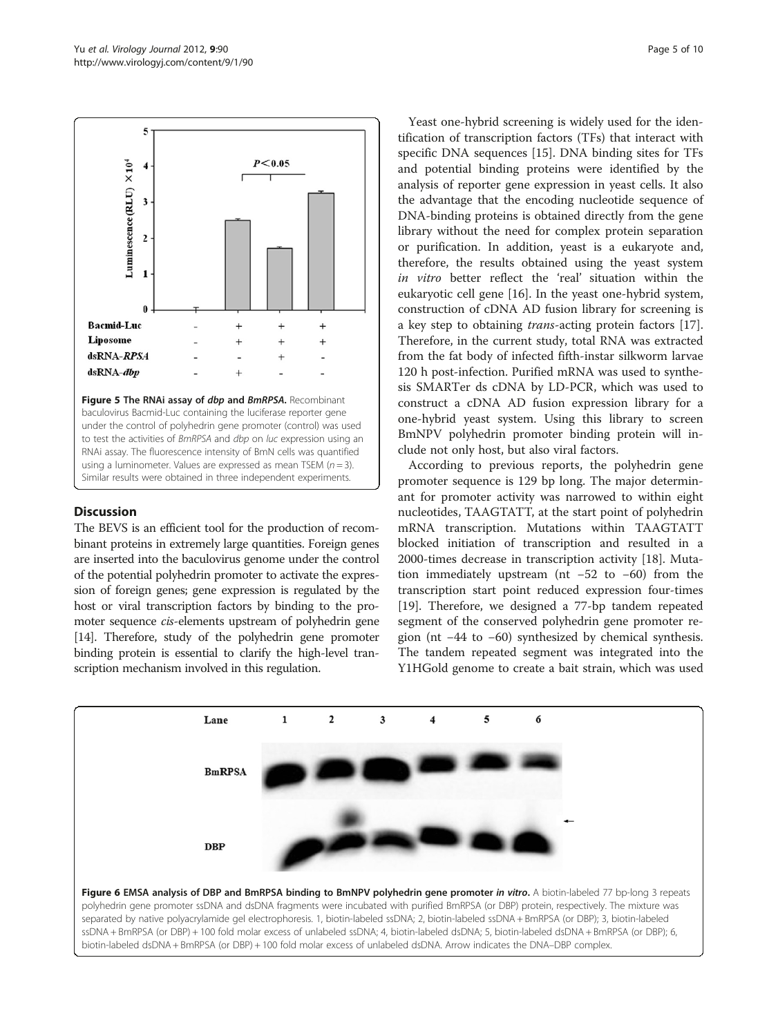<span id="page-4-0"></span>

Similar results were obtained in three independent experiments.

# **Discussion**

The BEVS is an efficient tool for the production of recombinant proteins in extremely large quantities. Foreign genes are inserted into the baculovirus genome under the control of the potential polyhedrin promoter to activate the expression of foreign genes; gene expression is regulated by the host or viral transcription factors by binding to the promoter sequence cis-elements upstream of polyhedrin gene [[14](#page-9-0)]. Therefore, study of the polyhedrin gene promoter binding protein is essential to clarify the high-level transcription mechanism involved in this regulation.

Yeast one-hybrid screening is widely used for the identification of transcription factors (TFs) that interact with specific DNA sequences [\[15](#page-9-0)]. DNA binding sites for TFs and potential binding proteins were identified by the analysis of reporter gene expression in yeast cells. It also the advantage that the encoding nucleotide sequence of DNA-binding proteins is obtained directly from the gene library without the need for complex protein separation or purification. In addition, yeast is a eukaryote and, therefore, the results obtained using the yeast system in vitro better reflect the 'real' situation within the eukaryotic cell gene [\[16\]](#page-9-0). In the yeast one-hybrid system, construction of cDNA AD fusion library for screening is a key step to obtaining trans-acting protein factors [[17](#page-9-0)]. Therefore, in the current study, total RNA was extracted from the fat body of infected fifth-instar silkworm larvae 120 h post-infection. Purified mRNA was used to synthesis SMARTer ds cDNA by LD-PCR, which was used to construct a cDNA AD fusion expression library for a one-hybrid yeast system. Using this library to screen BmNPV polyhedrin promoter binding protein will include not only host, but also viral factors.

According to previous reports, the polyhedrin gene promoter sequence is 129 bp long. The major determinant for promoter activity was narrowed to within eight nucleotides, TAAGTATT, at the start point of polyhedrin mRNA transcription. Mutations within TAAGTATT blocked initiation of transcription and resulted in a 2000-times decrease in transcription activity [[18](#page-9-0)]. Mutation immediately upstream (nt −52 to −60) from the transcription start point reduced expression four-times [[19\]](#page-9-0). Therefore, we designed a 77-bp tandem repeated segment of the conserved polyhedrin gene promoter region (nt −44 to −60) synthesized by chemical synthesis. The tandem repeated segment was integrated into the Y1HGold genome to create a bait strain, which was used

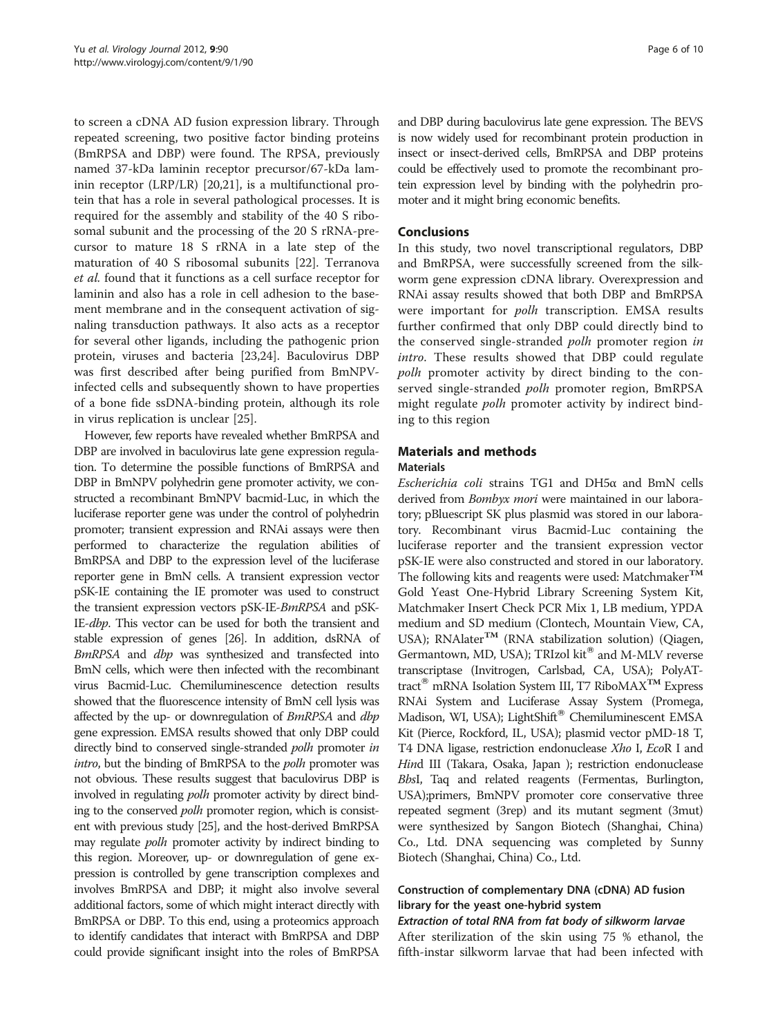to screen a cDNA AD fusion expression library. Through repeated screening, two positive factor binding proteins (BmRPSA and DBP) were found. The RPSA, previously named 37-kDa laminin receptor precursor/67-kDa laminin receptor (LRP/LR) [[20](#page-9-0),[21](#page-9-0)], is a multifunctional protein that has a role in several pathological processes. It is required for the assembly and stability of the 40 S ribosomal subunit and the processing of the 20 S rRNA-precursor to mature 18 S rRNA in a late step of the maturation of 40 S ribosomal subunits [\[22\]](#page-9-0). Terranova et al. found that it functions as a cell surface receptor for laminin and also has a role in cell adhesion to the basement membrane and in the consequent activation of signaling transduction pathways. It also acts as a receptor for several other ligands, including the pathogenic prion protein, viruses and bacteria [\[23,24\]](#page-9-0). Baculovirus DBP was first described after being purified from BmNPVinfected cells and subsequently shown to have properties of a bone fide ssDNA-binding protein, although its role in virus replication is unclear [[25](#page-9-0)].

However, few reports have revealed whether BmRPSA and DBP are involved in baculovirus late gene expression regulation. To determine the possible functions of BmRPSA and DBP in BmNPV polyhedrin gene promoter activity, we constructed a recombinant BmNPV bacmid-Luc, in which the luciferase reporter gene was under the control of polyhedrin promoter; transient expression and RNAi assays were then performed to characterize the regulation abilities of BmRPSA and DBP to the expression level of the luciferase reporter gene in BmN cells. A transient expression vector pSK-IE containing the IE promoter was used to construct the transient expression vectors pSK-IE-BmRPSA and pSK-IE-dbp. This vector can be used for both the transient and stable expression of genes [\[26](#page-9-0)]. In addition, dsRNA of BmRPSA and *dbp* was synthesized and transfected into BmN cells, which were then infected with the recombinant virus Bacmid-Luc. Chemiluminescence detection results showed that the fluorescence intensity of BmN cell lysis was affected by the up- or downregulation of BmRPSA and dbp gene expression. EMSA results showed that only DBP could directly bind to conserved single-stranded *polh* promoter in intro, but the binding of BmRPSA to the polh promoter was not obvious. These results suggest that baculovirus DBP is involved in regulating *polh* promoter activity by direct binding to the conserved polh promoter region, which is consistent with previous study [\[25](#page-9-0)], and the host-derived BmRPSA may regulate *polh* promoter activity by indirect binding to this region. Moreover, up- or downregulation of gene expression is controlled by gene transcription complexes and involves BmRPSA and DBP; it might also involve several additional factors, some of which might interact directly with BmRPSA or DBP. To this end, using a proteomics approach to identify candidates that interact with BmRPSA and DBP could provide significant insight into the roles of BmRPSA

and DBP during baculovirus late gene expression. The BEVS is now widely used for recombinant protein production in insect or insect-derived cells, BmRPSA and DBP proteins could be effectively used to promote the recombinant protein expression level by binding with the polyhedrin promoter and it might bring economic benefits.

#### Conclusions

In this study, two novel transcriptional regulators, DBP and BmRPSA, were successfully screened from the silkworm gene expression cDNA library. Overexpression and RNAi assay results showed that both DBP and BmRPSA were important for *polh* transcription. EMSA results further confirmed that only DBP could directly bind to the conserved single-stranded polh promoter region in intro. These results showed that DBP could regulate polh promoter activity by direct binding to the conserved single-stranded polh promoter region, BmRPSA might regulate *polh* promoter activity by indirect binding to this region

#### Materials and methods **Materials**

Escherichia coli strains TG1 and DH5α and BmN cells derived from Bombyx mori were maintained in our laboratory; pBluescript SK plus plasmid was stored in our laboratory. Recombinant virus Bacmid-Luc containing the luciferase reporter and the transient expression vector pSK-IE were also constructed and stored in our laboratory. The following kits and reagents were used: Matchmaker<sup>TM</sup> Gold Yeast One-Hybrid Library Screening System Kit, Matchmaker Insert Check PCR Mix 1, LB medium, YPDA medium and SD medium (Clontech, Mountain View, CA, USA); RNAlater<sup>TM</sup> (RNA stabilization solution) (Qiagen, Germantown, MD, USA); TRIzol kit® and M-MLV reverse transcriptase (Invitrogen, Carlsbad, CA, USA); PolyATtract<sup>®</sup> mRNA Isolation System III, T7 RiboMAX<sup>TM</sup> Express RNAi System and Luciferase Assay System (Promega, Madison, WI, USA); LightShift<sup>®</sup> Chemiluminescent EMSA Kit (Pierce, Rockford, IL, USA); plasmid vector pMD-18 T, T4 DNA ligase, restriction endonuclease Xho I, EcoR I and Hind III (Takara, Osaka, Japan ); restriction endonuclease BbsI, Taq and related reagents (Fermentas, Burlington, USA);primers, BmNPV promoter core conservative three repeated segment (3rep) and its mutant segment (3mut) were synthesized by Sangon Biotech (Shanghai, China) Co., Ltd. DNA sequencing was completed by Sunny Biotech (Shanghai, China) Co., Ltd.

# Construction of complementary DNA (cDNA) AD fusion library for the yeast one-hybrid system

Extraction of total RNA from fat body of silkworm larvae

After sterilization of the skin using 75 % ethanol, the fifth-instar silkworm larvae that had been infected with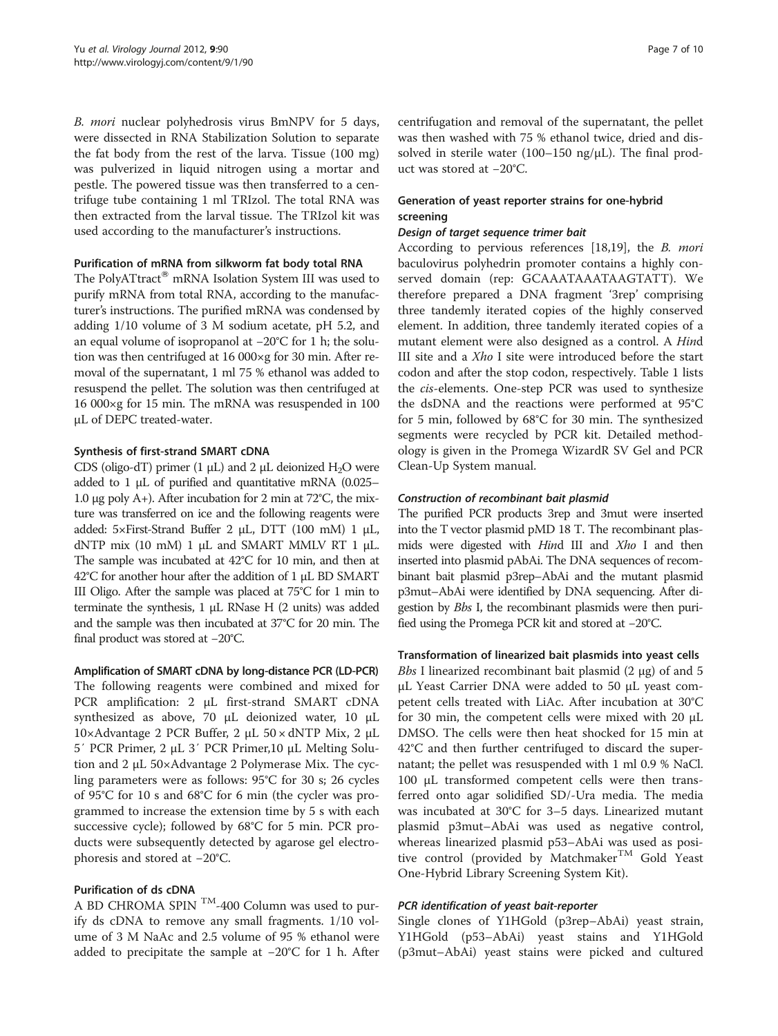B. mori nuclear polyhedrosis virus BmNPV for 5 days, were dissected in RNA Stabilization Solution to separate the fat body from the rest of the larva. Tissue (100 mg) was pulverized in liquid nitrogen using a mortar and pestle. The powered tissue was then transferred to a centrifuge tube containing 1 ml TRIzol. The total RNA was then extracted from the larval tissue. The TRIzol kit was used according to the manufacturer's instructions.

#### Purification of mRNA from silkworm fat body total RNA

The PolyATtract<sup>®</sup> mRNA Isolation System III was used to purify mRNA from total RNA, according to the manufacturer's instructions. The purified mRNA was condensed by adding 1/10 volume of 3 M sodium acetate, pH 5.2, and an equal volume of isopropanol at −20°C for 1 h; the solution was then centrifuged at 16 000×g for 30 min. After removal of the supernatant, 1 ml 75 % ethanol was added to resuspend the pellet. The solution was then centrifuged at 16 000×g for 15 min. The mRNA was resuspended in 100 μL of DEPC treated-water.

# Synthesis of first-strand SMART cDNA

CDS (oligo-dT) primer (1  $\mu$ L) and 2  $\mu$ L deionized H<sub>2</sub>O were added to 1 μL of purified and quantitative mRNA (0.025– 1.0 μg poly A+). After incubation for 2 min at 72°C, the mixture was transferred on ice and the following reagents were added: 5×First-Strand Buffer 2 μL, DTT (100 mM) 1 μL, dNTP mix (10 mM) 1 μL and SMART MMLV RT 1 μL. The sample was incubated at 42°C for 10 min, and then at 42°C for another hour after the addition of 1 μL BD SMART III Oligo. After the sample was placed at 75°C for 1 min to terminate the synthesis, 1 μL RNase H (2 units) was added and the sample was then incubated at 37°C for 20 min. The final product was stored at −20°C.

Amplification of SMART cDNA by long-distance PCR (LD-PCR) The following reagents were combined and mixed for PCR amplification: 2 μL first-strand SMART cDNA synthesized as above, 70 μL deionized water, 10 μL 10×Advantage 2 PCR Buffer, 2 μL 50 × dNTP Mix, 2 μL 5′ PCR Primer, 2 μL 3′ PCR Primer,10 μL Melting Solution and 2 μL 50×Advantage 2 Polymerase Mix. The cycling parameters were as follows: 95°C for 30 s; 26 cycles of 95°C for 10 s and 68°C for 6 min (the cycler was programmed to increase the extension time by 5 s with each successive cycle); followed by 68°C for 5 min. PCR products were subsequently detected by agarose gel electrophoresis and stored at −20°C.

# Purification of ds cDNA

A BD CHROMA SPIN <sup>TM</sup>-400 Column was used to purify ds cDNA to remove any small fragments. 1/10 volume of 3 M NaAc and 2.5 volume of 95 % ethanol were added to precipitate the sample at −20°C for 1 h. After centrifugation and removal of the supernatant, the pellet was then washed with 75 % ethanol twice, dried and dissolved in sterile water (100–150 ng/μL). The final product was stored at −20°C.

# Generation of yeast reporter strains for one-hybrid screening

#### Design of target sequence trimer bait

According to pervious references [[18,19](#page-9-0)], the B. mori baculovirus polyhedrin promoter contains a highly conserved domain (rep: GCAAATAAATAAGTATT). We therefore prepared a DNA fragment '3rep' comprising three tandemly iterated copies of the highly conserved element. In addition, three tandemly iterated copies of a mutant element were also designed as a control. A Hind III site and a Xho I site were introduced before the start codon and after the stop codon, respectively. Table [1](#page-7-0) lists the cis-elements. One-step PCR was used to synthesize the dsDNA and the reactions were performed at 95°C for 5 min, followed by 68°C for 30 min. The synthesized segments were recycled by PCR kit. Detailed methodology is given in the Promega WizardR SV Gel and PCR Clean-Up System manual.

# Construction of recombinant bait plasmid

The purified PCR products 3rep and 3mut were inserted into the T vector plasmid pMD 18 T. The recombinant plasmids were digested with Hind III and Xho I and then inserted into plasmid pAbAi. The DNA sequences of recombinant bait plasmid p3rep–AbAi and the mutant plasmid p3mut–AbAi were identified by DNA sequencing. After digestion by Bbs I, the recombinant plasmids were then purified using the Promega PCR kit and stored at −20°C.

# Transformation of linearized bait plasmids into yeast cells

*Bbs* I linearized recombinant bait plasmid  $(2 \mu g)$  of and 5 μL Yeast Carrier DNA were added to 50 μL yeast competent cells treated with LiAc. After incubation at 30°C for 30 min, the competent cells were mixed with 20 μL DMSO. The cells were then heat shocked for 15 min at 42°C and then further centrifuged to discard the supernatant; the pellet was resuspended with 1 ml 0.9 % NaCl. 100 μL transformed competent cells were then transferred onto agar solidified SD/-Ura media. The media was incubated at 30°C for 3–5 days. Linearized mutant plasmid p3mut–AbAi was used as negative control, whereas linearized plasmid p53–AbAi was used as positive control (provided by Matchmaker<sup>TM</sup> Gold Yeast One-Hybrid Library Screening System Kit).

# PCR identification of yeast bait-reporter

Single clones of Y1HGold (p3rep–AbAi) yeast strain, Y1HGold (p53–AbAi) yeast stains and Y1HGold (p3mut–AbAi) yeast stains were picked and cultured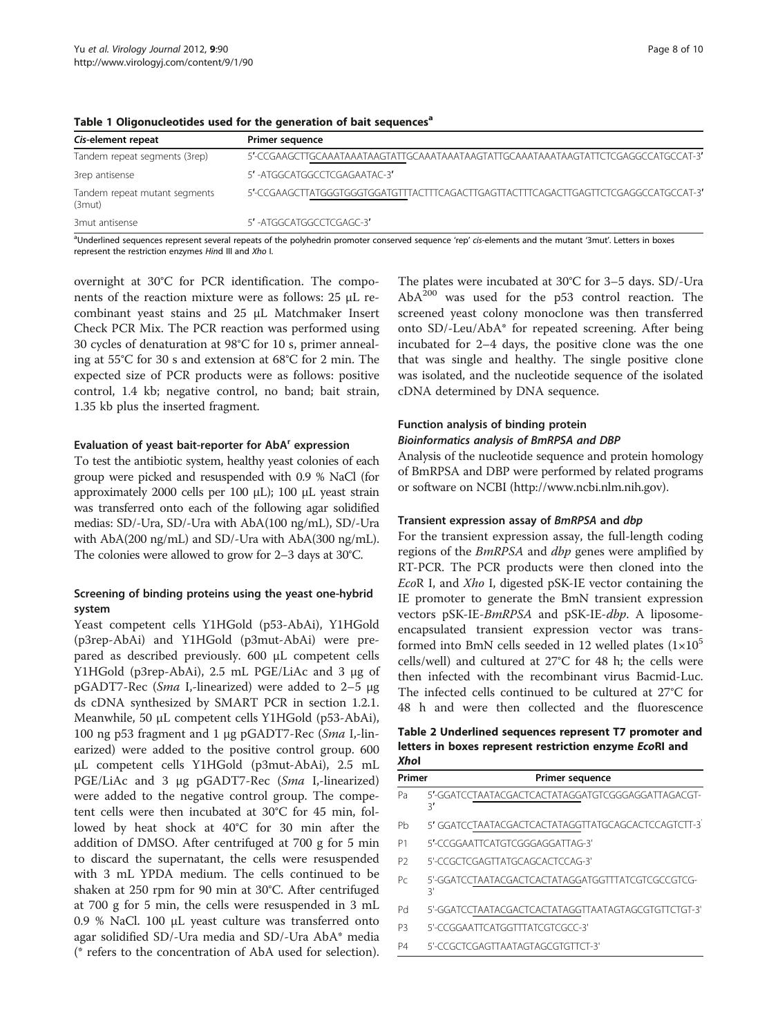| Cis-element repeat                      | <b>Primer sequence</b>                                                              |
|-----------------------------------------|-------------------------------------------------------------------------------------|
| Tandem repeat segments (3rep)           |                                                                                     |
| 3rep antisense                          | 5'-ATGGCATGGCCTCGAGAATAC-3'                                                         |
| Tandem repeat mutant segments<br>(3mut) | 5'-CCGAAGCTTATGGGTGGGTGGATGTTTACTTTCAGACTTGAGTTACTTTCAGACTTGAGTTCTCGAGGCCATGCCAT-3' |
| 3mut antisense                          | 5'-ATGGCATGGCCTCGAGC-3'                                                             |

<span id="page-7-0"></span>Table 1 Oligonucleotides used for the generation of bait sequences<sup>a</sup>

<sup>a</sup>Underlined sequences represent several repeats of the polyhedrin promoter conserved sequence 'rep' cis-elements and the mutant '3mut'. Letters in boxes<br>represent the restriction enzymes Hind III and *Ybo L* represent the restriction enzymes Hind III and Xho I.

overnight at 30°C for PCR identification. The components of the reaction mixture were as follows: 25 μL recombinant yeast stains and 25 μL Matchmaker Insert Check PCR Mix. The PCR reaction was performed using 30 cycles of denaturation at 98°C for 10 s, primer annealing at 55°C for 30 s and extension at 68°C for 2 min. The expected size of PCR products were as follows: positive control, 1.4 kb; negative control, no band; bait strain, 1.35 kb plus the inserted fragment.

#### Evaluation of yeast bait-reporter for AbA<sup>r</sup> expression

To test the antibiotic system, healthy yeast colonies of each group were picked and resuspended with 0.9 % NaCl (for approximately 2000 cells per 100 μL); 100 μL yeast strain was transferred onto each of the following agar solidified medias: SD/-Ura, SD/-Ura with AbA(100 ng/mL), SD/-Ura with AbA(200 ng/mL) and SD/-Ura with AbA(300 ng/mL). The colonies were allowed to grow for 2–3 days at 30°C.

# Screening of binding proteins using the yeast one-hybrid system

Yeast competent cells Y1HGold (p53-AbAi), Y1HGold (p3rep-AbAi) and Y1HGold (p3mut-AbAi) were prepared as described previously. 600 μL competent cells Y1HGold (p3rep-AbAi), 2.5 mL PGE/LiAc and 3 μg of pGADT7-Rec (*Sma* I,-linearized) were added to  $2-5$  μg ds cDNA synthesized by SMART PCR in section 1.2.1. Meanwhile, 50 μL competent cells Y1HGold (p53-AbAi), 100 ng p53 fragment and 1 μg pGADT7-Rec (Sma I,-linearized) were added to the positive control group. 600 μL competent cells Y1HGold (p3mut-AbAi), 2.5 mL PGE/LiAc and 3 μg pGADT7-Rec (Sma I,-linearized) were added to the negative control group. The competent cells were then incubated at 30°C for 45 min, followed by heat shock at 40°C for 30 min after the addition of DMSO. After centrifuged at 700 g for 5 min to discard the supernatant, the cells were resuspended with 3 mL YPDA medium. The cells continued to be shaken at 250 rpm for 90 min at 30°C. After centrifuged at 700 g for 5 min, the cells were resuspended in 3 mL 0.9 % NaCl. 100 μL yeast culture was transferred onto agar solidified SD/-Ura media and SD/-Ura AbA\* media (\* refers to the concentration of AbA used for selection). The plates were incubated at 30°C for 3–5 days. SD/-Ura AbA<sup>200</sup> was used for the p53 control reaction. The screened yeast colony monoclone was then transferred onto SD/-Leu/AbA\* for repeated screening. After being incubated for 2–4 days, the positive clone was the one that was single and healthy. The single positive clone was isolated, and the nucleotide sequence of the isolated cDNA determined by DNA sequence.

# Function analysis of binding protein

# Bioinformatics analysis of BmRPSA and DBP

Analysis of the nucleotide sequence and protein homology of BmRPSA and DBP were performed by related programs or software on NCBI [\(http://www.ncbi.nlm.nih.gov\)](http://www.ncbi.nlm.nih.gov).

#### Transient expression assay of BmRPSA and dbp

For the transient expression assay, the full-length coding regions of the *BmRPSA* and *dbp* genes were amplified by RT-PCR. The PCR products were then cloned into the EcoR I, and Xho I, digested pSK-IE vector containing the IE promoter to generate the BmN transient expression vectors pSK-IE-BmRPSA and pSK-IE-dbp. A liposomeencapsulated transient expression vector was transformed into BmN cells seeded in 12 welled plates  $(1\times10^5$ cells/well) and cultured at 27°C for 48 h; the cells were then infected with the recombinant virus Bacmid-Luc. The infected cells continued to be cultured at 27°C for 48 h and were then collected and the fluorescence

Table 2 Underlined sequences represent T7 promoter and letters in boxes represent restriction enzyme EcoRI and XhoI

| Primer | <b>Primer sequence</b>                                  |  |
|--------|---------------------------------------------------------|--|
| Pа     | 5'-GGATCCTAATACGACTCACTATAGGATGTCGGGAGGATTAGACGT-<br>3' |  |
| Ph     | 5' GGATCCTAATACGACTCACTATAGGTTATGCAGCACTCCAGTCTT-3      |  |
| P1     | 5'-CCGGAATTCATGTCGGGAGGATTAG-3'                         |  |
| P2     | 5'-CCGCTCGAGTTATGCAGCACTCCAG-3'                         |  |
| Pc     | 5'-GGATCCTAATACGACTCACTATAGGATGGTTTATCGTCGCCGTCG-<br>٦' |  |
| Pd     | 5'-GGATCCTAATACGACTCACTATAGGTTAATAGTAGCGTGTTCTGT-3'     |  |
| PЗ     | 5'-CCGGAATTCATGGTTTATCGTCGCC-3'                         |  |
| P4     | 5'-CCGCTCGAGTTAATAGTAGCGTGTTCT-3'                       |  |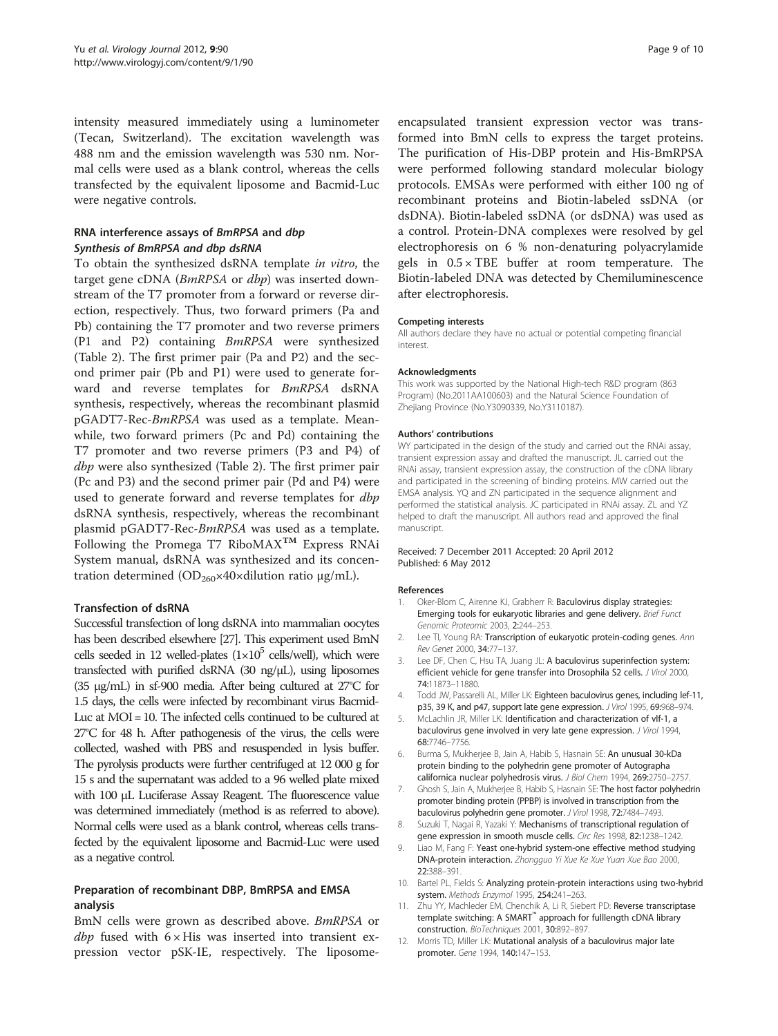<span id="page-8-0"></span>intensity measured immediately using a luminometer (Tecan, Switzerland). The excitation wavelength was 488 nm and the emission wavelength was 530 nm. Normal cells were used as a blank control, whereas the cells transfected by the equivalent liposome and Bacmid-Luc were negative controls.

#### RNA interference assays of BmRPSA and dbp Synthesis of BmRPSA and dbp dsRNA

To obtain the synthesized dsRNA template in vitro, the target gene cDNA (BmRPSA or dbp) was inserted downstream of the T7 promoter from a forward or reverse direction, respectively. Thus, two forward primers (Pa and Pb) containing the T7 promoter and two reverse primers (P1 and P2) containing BmRPSA were synthesized (Table [2](#page-7-0)). The first primer pair (Pa and P2) and the second primer pair (Pb and P1) were used to generate forward and reverse templates for BmRPSA dsRNA synthesis, respectively, whereas the recombinant plasmid pGADT7-Rec-BmRPSA was used as a template. Meanwhile, two forward primers (Pc and Pd) containing the T7 promoter and two reverse primers (P3 and P4) of dbp were also synthesized (Table [2](#page-7-0)). The first primer pair (Pc and P3) and the second primer pair (Pd and P4) were used to generate forward and reverse templates for dbp dsRNA synthesis, respectively, whereas the recombinant plasmid pGADT7-Rec-BmRPSA was used as a template. Following the Promega T7 RiboMAXTM Express RNAi System manual, dsRNA was synthesized and its concentration determined ( $OD<sub>260</sub>×40×dilution ratio μg/mL$ ).

#### Transfection of dsRNA

Successful transfection of long dsRNA into mammalian oocytes has been described elsewhere [\[27\]](#page-9-0). This experiment used BmN cells seeded in 12 welled-plates  $(1\times10^5 \text{ cells/well})$ , which were transfected with purified dsRNA (30 ng/μL), using liposomes (35 μg/mL) in sf-900 media. After being cultured at 27°C for 1.5 days, the cells were infected by recombinant virus Bacmid-Luc at MOI = 10. The infected cells continued to be cultured at 27°C for 48 h. After pathogenesis of the virus, the cells were collected, washed with PBS and resuspended in lysis buffer. The pyrolysis products were further centrifuged at 12 000 g for 15 s and the supernatant was added to a 96 welled plate mixed with 100 μL Luciferase Assay Reagent. The fluorescence value was determined immediately (method is as referred to above). Normal cells were used as a blank control, whereas cells transfected by the equivalent liposome and Bacmid-Luc were used as a negative control.

# Preparation of recombinant DBP, BmRPSA and EMSA analysis

BmN cells were grown as described above. BmRPSA or *dbp* fused with  $6 \times$  His was inserted into transient expression vector pSK-IE, respectively. The liposome-

encapsulated transient expression vector was transformed into BmN cells to express the target proteins. The purification of His-DBP protein and His-BmRPSA were performed following standard molecular biology protocols. EMSAs were performed with either 100 ng of recombinant proteins and Biotin-labeled ssDNA (or dsDNA). Biotin-labeled ssDNA (or dsDNA) was used as a control. Protein-DNA complexes were resolved by gel electrophoresis on 6 % non-denaturing polyacrylamide gels in  $0.5 \times \text{TBE}$  buffer at room temperature. The Biotin-labeled DNA was detected by Chemiluminescence after electrophoresis.

#### Competing interests

All authors declare they have no actual or potential competing financial interest.

#### Acknowledgments

This work was supported by the National High-tech R&D program (863 Program) (No.2011AA100603) and the Natural Science Foundation of Zhejiang Province (No.Y3090339, No.Y3110187).

#### Authors' contributions

WY participated in the design of the study and carried out the RNAi assay, transient expression assay and drafted the manuscript. JL carried out the RNAi assay, transient expression assay, the construction of the cDNA library and participated in the screening of binding proteins. MW carried out the EMSA analysis. YQ and ZN participated in the sequence alignment and performed the statistical analysis. JC participated in RNAi assay. ZL and YZ helped to draft the manuscript. All authors read and approved the final manuscript.

#### Received: 7 December 2011 Accepted: 20 April 2012 Published: 6 May 2012

#### References

- 1. Oker-Blom C, Airenne KJ, Grabherr R: Baculovirus display strategies: Emerging tools for eukaryotic libraries and gene delivery. Brief Funct Genomic Proteomic 2003, 2:244–253.
- 2. Lee TI, Young RA: Transcription of eukaryotic protein-coding genes. Ann Rev Genet 2000, 34:77–137.
- 3. Lee DF, Chen C, Hsu TA, Juang JL: A baculovirus superinfection system: efficient vehicle for gene transfer into Drosophila S2 cells. J Virol 2000, 74:11873–11880.
- 4. Todd JW, Passarelli AL, Miller LK: Eighteen baculovirus genes, including lef-11, p35, 39 K, and p47, support late gene expression. J Virol 1995, 69:968–974.
- 5. McLachlin JR, Miller LK: Identification and characterization of vlf-1, a baculovirus gene involved in very late gene expression. J Virol 1994, 68:7746–7756.
- 6. Burma S, Mukherjee B, Jain A, Habib S, Hasnain SE: An unusual 30-kDa protein binding to the polyhedrin gene promoter of Autographa californica nuclear polyhedrosis virus. J Biol Chem 1994, 269:2750–2757.
- 7. Ghosh S, Jain A, Mukherjee B, Habib S, Hasnain SE: The host factor polyhedrin promoter binding protein (PPBP) is involved in transcription from the baculovirus polyhedrin gene promoter. J Virol 1998, 72:7484–7493.
- 8. Suzuki T, Nagai R, Yazaki Y: Mechanisms of transcriptional regulation of gene expression in smooth muscle cells. Circ Res 1998, 82:1238–1242.
- 9. Liao M, Fang F: Yeast one-hybrid system-one effective method studying DNA-protein interaction. Zhongguo Yi Xue Ke Xue Yuan Xue Bao 2000, 22:388–391.
- 10. Bartel PL, Fields S: Analyzing protein-protein interactions using two-hybrid system. Methods Enzymol 1995, 254:241–263.
- 11. Zhu YY, Machleder EM, Chenchik A, Li R, Siebert PD: Reverse transcriptase template switching: A SMART™ approach for fulllength cDNA library construction. BioTechniques 2001, 30:892–897.
- 12. Morris TD, Miller LK: Mutational analysis of a baculovirus major late promoter. Gene 1994, 140:147–153.